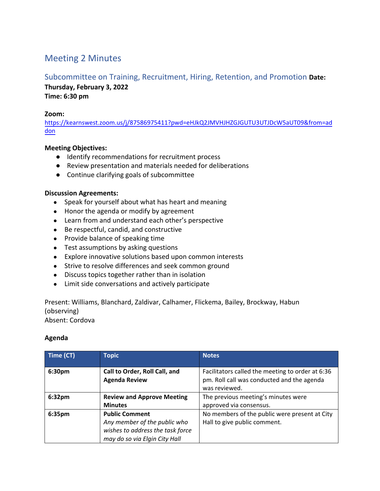# Meeting 2 Minutes

## Subcommittee on Training, Recruitment, Hiring, Retention, and Promotion **Date:**

**Thursday, February 3, 2022 Time: 6:30 pm**

#### **Zoom:**

[https://kearnswest.zoom.us/j/87586975411?pwd=eHJkQ2JMVHJHZGJGUTU3UTJDcW5aUT09&from=ad](https://kearnswest.zoom.us/j/87586975411?pwd=eHJkQ2JMVHJHZGJGUTU3UTJDcW5aUT09&from=addon) [don](https://kearnswest.zoom.us/j/87586975411?pwd=eHJkQ2JMVHJHZGJGUTU3UTJDcW5aUT09&from=addon)

### **Meeting Objectives:**

- Identify recommendations for recruitment process
- Review presentation and materials needed for deliberations
- Continue clarifying goals of subcommittee

#### **Discussion Agreements:**

- Speak for yourself about what has heart and meaning
- Honor the agenda or modify by agreement
- Learn from and understand each other's perspective
- Be respectful, candid, and constructive
- Provide balance of speaking time
- Test assumptions by asking questions
- Explore innovative solutions based upon common interests
- Strive to resolve differences and seek common ground
- Discuss topics together rather than in isolation
- Limit side conversations and actively participate

Present: Williams, Blanchard, Zaldivar, Calhamer, Flickema, Bailey, Brockway, Habun (observing)

Absent: Cordova

#### **Agenda**

| Time (CT)          | <b>Topic</b>                                                                                                               | <b>Notes</b>                                                                                                    |
|--------------------|----------------------------------------------------------------------------------------------------------------------------|-----------------------------------------------------------------------------------------------------------------|
| 6:30pm             | Call to Order, Roll Call, and<br><b>Agenda Review</b>                                                                      | Facilitators called the meeting to order at 6:36<br>pm. Roll call was conducted and the agenda<br>was reviewed. |
| 6:32 <sub>pm</sub> | <b>Review and Approve Meeting</b><br><b>Minutes</b>                                                                        | The previous meeting's minutes were<br>approved via consensus.                                                  |
| 6:35pm             | <b>Public Comment</b><br>Any member of the public who<br>wishes to address the task force<br>may do so via Elgin City Hall | No members of the public were present at City<br>Hall to give public comment.                                   |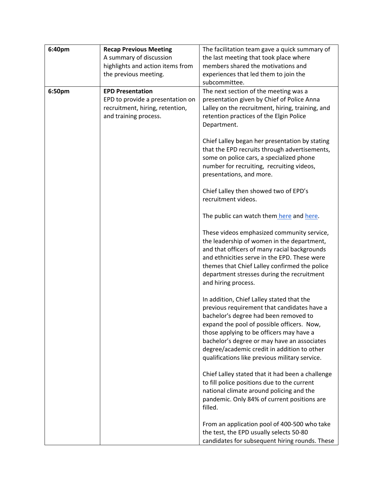| 6:40pm | <b>Recap Previous Meeting</b>    | The facilitation team gave a quick summary of                                                |
|--------|----------------------------------|----------------------------------------------------------------------------------------------|
|        | A summary of discussion          | the last meeting that took place where                                                       |
|        | highlights and action items from | members shared the motivations and                                                           |
|        | the previous meeting.            | experiences that led them to join the                                                        |
|        |                                  | subcommittee.                                                                                |
| 6:50pm | <b>EPD Presentation</b>          | The next section of the meeting was a                                                        |
|        | EPD to provide a presentation on | presentation given by Chief of Police Anna                                                   |
|        | recruitment, hiring, retention,  | Lalley on the recruitment, hiring, training, and                                             |
|        | and training process.            | retention practices of the Elgin Police                                                      |
|        |                                  | Department.                                                                                  |
|        |                                  |                                                                                              |
|        |                                  | Chief Lalley began her presentation by stating                                               |
|        |                                  | that the EPD recruits through advertisements,<br>some on police cars, a specialized phone    |
|        |                                  | number for recruiting, recruiting videos,                                                    |
|        |                                  | presentations, and more.                                                                     |
|        |                                  |                                                                                              |
|        |                                  | Chief Lalley then showed two of EPD's                                                        |
|        |                                  | recruitment videos.                                                                          |
|        |                                  |                                                                                              |
|        |                                  | The public can watch them here and here.                                                     |
|        |                                  |                                                                                              |
|        |                                  | These videos emphasized community service,                                                   |
|        |                                  | the leadership of women in the department,                                                   |
|        |                                  | and that officers of many racial backgrounds<br>and ethnicities serve in the EPD. These were |
|        |                                  | themes that Chief Lalley confirmed the police                                                |
|        |                                  | department stresses during the recruitment                                                   |
|        |                                  | and hiring process.                                                                          |
|        |                                  |                                                                                              |
|        |                                  | In addition, Chief Lalley stated that the                                                    |
|        |                                  | previous requirement that candidates have a                                                  |
|        |                                  | bachelor's degree had been removed to                                                        |
|        |                                  | expand the pool of possible officers. Now,                                                   |
|        |                                  | those applying to be officers may have a                                                     |
|        |                                  | bachelor's degree or may have an associates                                                  |
|        |                                  | degree/academic credit in addition to other                                                  |
|        |                                  | qualifications like previous military service.                                               |
|        |                                  | Chief Lalley stated that it had been a challenge                                             |
|        |                                  | to fill police positions due to the current                                                  |
|        |                                  | national climate around policing and the                                                     |
|        |                                  | pandemic. Only 84% of current positions are                                                  |
|        |                                  | filled.                                                                                      |
|        |                                  |                                                                                              |
|        |                                  | From an application pool of 400-500 who take                                                 |
|        |                                  | the test, the EPD usually selects 50-80                                                      |
|        |                                  | candidates for subsequent hiring rounds. These                                               |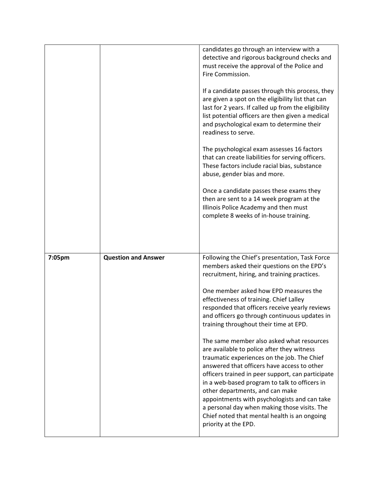|        |                            | candidates go through an interview with a<br>detective and rigorous background checks and<br>must receive the approval of the Police and<br>Fire Commission.                                                                                                                                                                                                                                                                                                                   |
|--------|----------------------------|--------------------------------------------------------------------------------------------------------------------------------------------------------------------------------------------------------------------------------------------------------------------------------------------------------------------------------------------------------------------------------------------------------------------------------------------------------------------------------|
|        |                            | If a candidate passes through this process, they<br>are given a spot on the eligibility list that can<br>last for 2 years. If called up from the eligibility<br>list potential officers are then given a medical<br>and psychological exam to determine their<br>readiness to serve.                                                                                                                                                                                           |
|        |                            | The psychological exam assesses 16 factors<br>that can create liabilities for serving officers.<br>These factors include racial bias, substance<br>abuse, gender bias and more.                                                                                                                                                                                                                                                                                                |
|        |                            | Once a candidate passes these exams they<br>then are sent to a 14 week program at the<br>Illinois Police Academy and then must<br>complete 8 weeks of in-house training.                                                                                                                                                                                                                                                                                                       |
|        |                            |                                                                                                                                                                                                                                                                                                                                                                                                                                                                                |
| 7:05pm | <b>Question and Answer</b> | Following the Chief's presentation, Task Force<br>members asked their questions on the EPD's<br>recruitment, hiring, and training practices.                                                                                                                                                                                                                                                                                                                                   |
|        |                            |                                                                                                                                                                                                                                                                                                                                                                                                                                                                                |
|        |                            | One member asked how EPD measures the<br>effectiveness of training. Chief Lalley<br>responded that officers receive yearly reviews<br>and officers go through continuous updates in<br>training throughout their time at EPD.                                                                                                                                                                                                                                                  |
|        |                            | The same member also asked what resources<br>are available to police after they witness<br>traumatic experiences on the job. The Chief<br>answered that officers have access to other<br>officers trained in peer support, can participate<br>in a web-based program to talk to officers in<br>other departments, and can make<br>appointments with psychologists and can take<br>a personal day when making those visits. The<br>Chief noted that mental health is an ongoing |